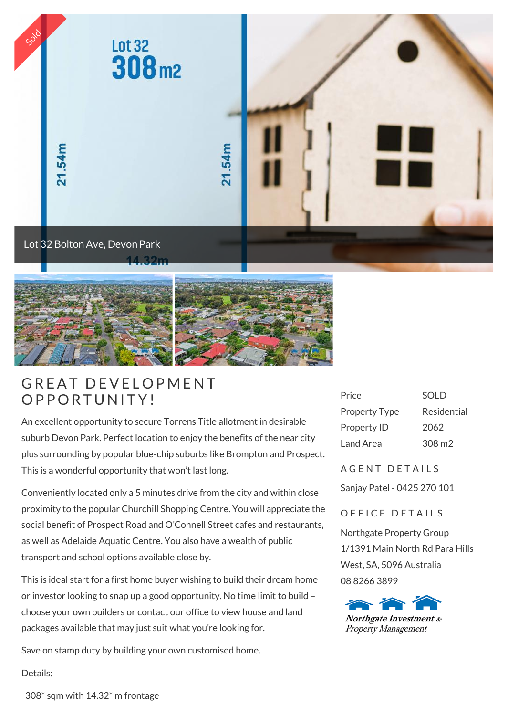



## A THE RESERVED ON EXAMPLE THE RESERVED ON THE RESERVED ON THE RESERVED ON THE RESERVED ON THE RESERVED ON THE RESERVED ON THE RESERVED ON THE RESERVED ON THE RESERVED ON THE RESERVED ON THE RESERVED ON THE RESERVED ON THE **GREAT DEVELOPM**<br>OPPORTUNITY!

An excellent opportunity to secure Torrens Title allotment in desirable suburb Devon Park. Perfect location to enjoy the benefits of the near city plus surrounding by popular blue-chip suburbs like Brompton and Prospect. This is a wonderful opportunity that won't last long.

Conveniently located only a 5 minutes drive from the city and within close proximity to the popular Churchill Shopping Centre. You will appreciate the social benefit of Prospect Road and O'Connell Street cafes and restaurants, as well as Adelaide Aquatic Centre. You also have a wealth of public transport and school options available close by.

This is ideal start for a first home buyer wishing to build their dream home or investor looking to snap up a good opportunity. No time limit to build – choose your own builders or contact our office to view house and land packages available that may just suit what you're looking for.

Save on stamp duty by building your own customised home.

Price SOLD Property Type Residential Property ID 2062 Land Area 308 m2

A GENT DETAILS

Sanjay Patel - 0425 270 101

## OFFICE DETAILS

Northgate Property Group 1/1391 Main North Rd Para Hills West, SA, 5096 Australia 08 8266 3899



Details:

308\* sqm with 14.32\* m frontage